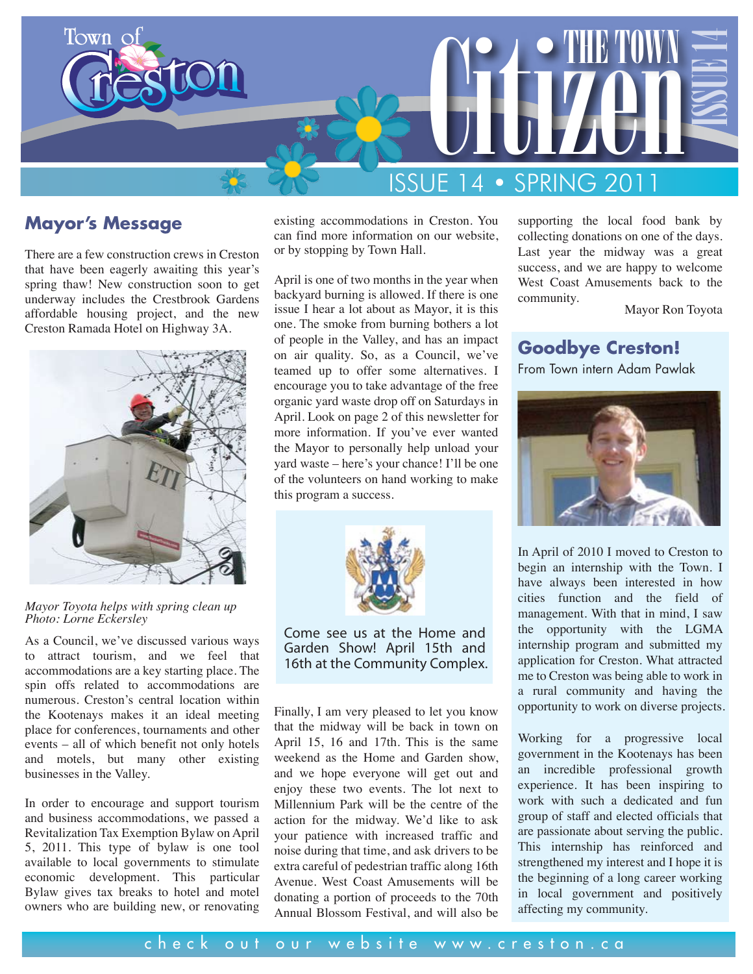

#### **Mayor's Message**

There are a few construction crews in Creston that have been eagerly awaiting this year's spring thaw! New construction soon to get underway includes the Crestbrook Gardens affordable housing project, and the new Creston Ramada Hotel on Highway 3A.



*Mayor Toyota helps with spring clean up Photo: Lorne Eckersley*

As a Council, we've discussed various ways to attract tourism, and we feel that accommodations are a key starting place. The spin offs related to accommodations are numerous. Creston's central location within the Kootenays makes it an ideal meeting place for conferences, tournaments and other events – all of which benefit not only hotels and motels, but many other existing businesses in the Valley.

In order to encourage and support tourism and business accommodations, we passed a Revitalization Tax Exemption Bylaw on April 5, 2011. This type of bylaw is one tool available to local governments to stimulate economic development. This particular Bylaw gives tax breaks to hotel and motel owners who are building new, or renovating

existing accommodations in Creston. You can find more information on our website, or by stopping by Town Hall.

April is one of two months in the year when backyard burning is allowed. If there is one issue I hear a lot about as Mayor, it is this one. The smoke from burning bothers a lot of people in the Valley, and has an impact on air quality. So, as a Council, we've teamed up to offer some alternatives. I encourage you to take advantage of the free organic yard waste drop off on Saturdays in April. Look on page 2 of this newsletter for more information. If you've ever wanted the Mayor to personally help unload your yard waste – here's your chance! I'll be one of the volunteers on hand working to make this program a success.



Come see us at the Home and Garden Show! April 15th and 16th at the Community Complex.

Finally, I am very pleased to let you know that the midway will be back in town on April 15, 16 and 17th. This is the same weekend as the Home and Garden show, and we hope everyone will get out and enjoy these two events. The lot next to Millennium Park will be the centre of the action for the midway. We'd like to ask your patience with increased traffic and noise during that time, and ask drivers to be extra careful of pedestrian traffic along 16th Avenue. West Coast Amusements will be donating a portion of proceeds to the 70th Annual Blossom Festival, and will also be

supporting the local food bank by collecting donations on one of the days. Last year the midway was a great success, and we are happy to welcome West Coast Amusements back to the community.

Mayor Ron Toyota

#### **Goodbye Creston!**

From Town intern Adam Pawlak



In April of 2010 I moved to Creston to begin an internship with the Town. I have always been interested in how cities function and the field of management. With that in mind, I saw the opportunity with the LGMA internship program and submitted my application for Creston. What attracted me to Creston was being able to work in a rural community and having the opportunity to work on diverse projects.

Working for a progressive local government in the Kootenays has been an incredible professional growth experience. It has been inspiring to work with such a dedicated and fun group of staff and elected officials that are passionate about serving the public. This internship has reinforced and strengthened my interest and I hope it is the beginning of a long career working in local government and positively affecting my community.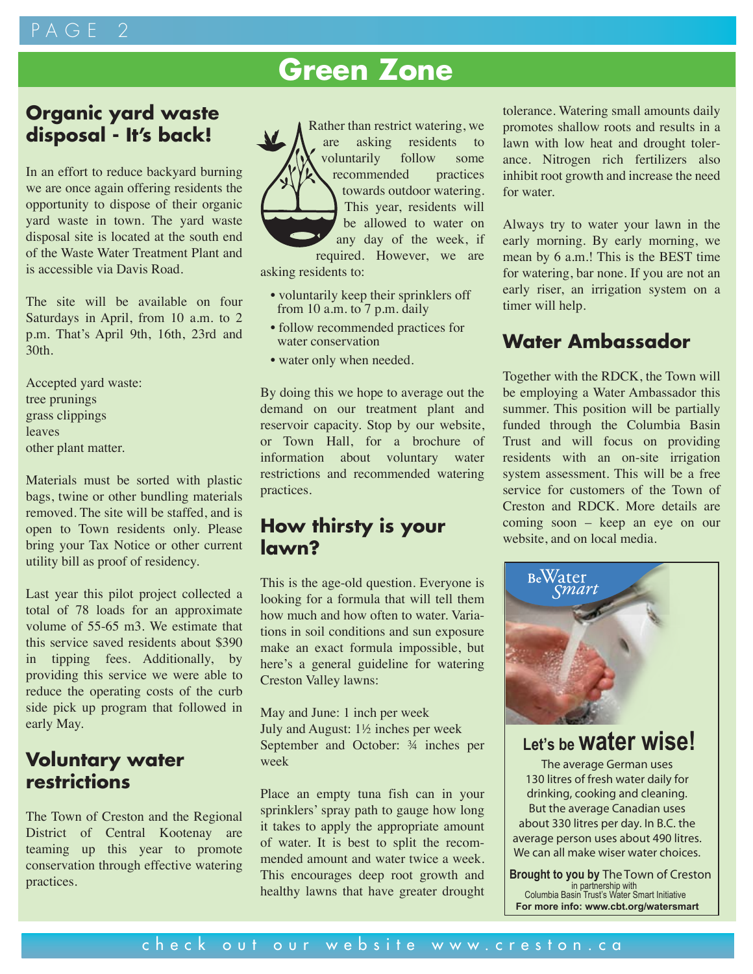## PAGE

# **Green Zone**

## **Organic yard waste disposal - It's back!**

In an effort to reduce backyard burning we are once again offering residents the opportunity to dispose of their organic yard waste in town. The yard waste disposal site is located at the south end of the Waste Water Treatment Plant and is accessible via Davis Road.

The site will be available on four Saturdays in April, from 10 a.m. to 2 p.m. That's April 9th, 16th, 23rd and 30th.

Accepted yard waste: tree prunings grass clippings leaves other plant matter.

Materials must be sorted with plastic bags, twine or other bundling materials removed. The site will be staffed, and is open to Town residents only. Please bring your Tax Notice or other current utility bill as proof of residency.

Last year this pilot project collected a total of 78 loads for an approximate volume of 55-65 m3. We estimate that this service saved residents about \$390 in tipping fees. Additionally, by providing this service we were able to reduce the operating costs of the curb side pick up program that followed in early May.

## **Voluntary water restrictions**

The Town of Creston and the Regional District of Central Kootenay are teaming up this year to promote conservation through effective watering practices.



asking residents to:

- voluntarily keep their sprinklers off from 10 a.m. to 7 p.m. daily
- follow recommended practices for water conservation
- water only when needed.

By doing this we hope to average out the demand on our treatment plant and reservoir capacity. Stop by our website, or Town Hall, for a brochure of information about voluntary water restrictions and recommended watering practices.

## **How thirsty is your lawn?**

This is the age-old question. Everyone is looking for a formula that will tell them how much and how often to water. Variations in soil conditions and sun exposure make an exact formula impossible, but here's a general guideline for watering Creston Valley lawns:

May and June: 1 inch per week July and August: 1½ inches per week September and October: ¾ inches per week

Place an empty tuna fish can in your sprinklers' spray path to gauge how long it takes to apply the appropriate amount of water. It is best to split the recommended amount and water twice a week. This encourages deep root growth and healthy lawns that have greater drought

tolerance. Watering small amounts daily promotes shallow roots and results in a lawn with low heat and drought tolerance. Nitrogen rich fertilizers also inhibit root growth and increase the need for water.

Always try to water your lawn in the early morning. By early morning, we mean by 6 a.m.! This is the BEST time for watering, bar none. If you are not an early riser, an irrigation system on a timer will help.

## **Water Ambassador**

Together with the RDCK, the Town will be employing a Water Ambassador this summer. This position will be partially funded through the Columbia Basin Trust and will focus on providing residents with an on-site irrigation system assessment. This will be a free service for customers of the Town of Creston and RDCK. More details are coming soon – keep an eye on our website, and on local media.



**Let's be water wise!**

The average German uses 130 litres of fresh water daily for drinking, cooking and cleaning. But the average Canadian uses about 330 litres per day. In B.C. the average person uses about 490 litres. We can all make wiser water choices.

**Brought to you by The Town of Creston** in partnership with Columbia Basin Trust's Water Smart Initiative **For more info: www.cbt.org/watersmart**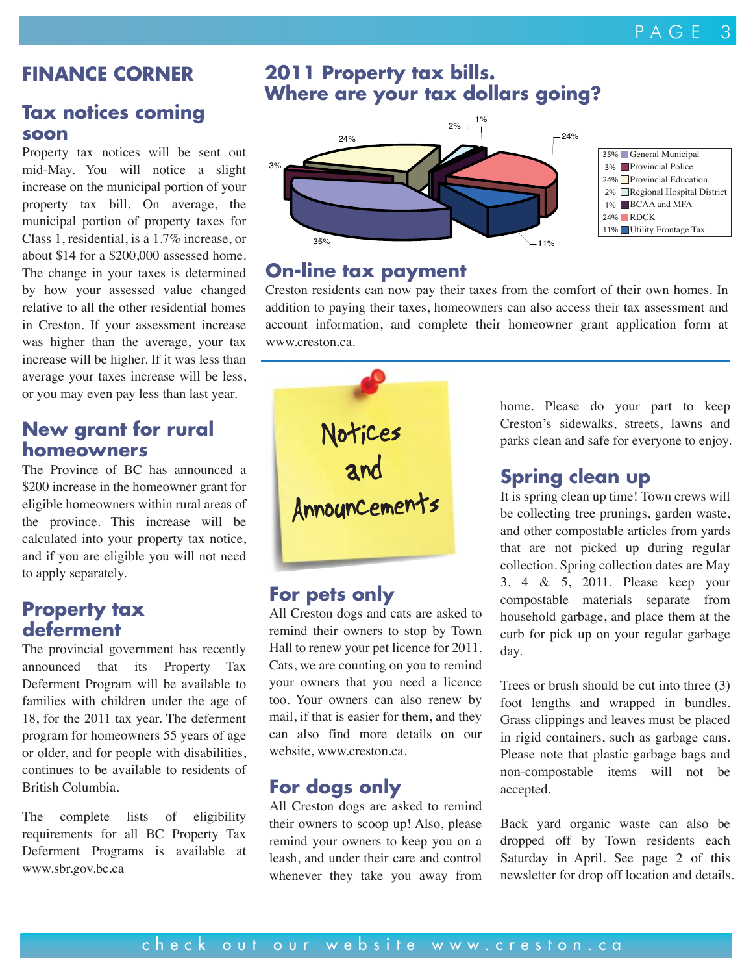## **FINANCE CORNER**

#### **Tax notices coming soon**

Property tax notices will be sent out mid-May. You will notice a slight increase on the municipal portion of your property tax bill. On average, the municipal portion of property taxes for Class 1, residential, is a 1.7% increase, or about \$14 for a \$200,000 assessed home. The change in your taxes is determined by how your assessed value changed relative to all the other residential homes in Creston. If your assessment increase was higher than the average, your tax increase will be higher. If it was less than average your taxes increase will be less, or you may even pay less than last year.

#### **New grant for rural homeowners**

The Province of BC has announced a \$200 increase in the homeowner grant for eligible homeowners within rural areas of the province. This increase will be calculated into your property tax notice, and if you are eligible you will not need to apply separately.

#### **Property tax deferment**

The provincial government has recently announced that its Property Tax Deferment Program will be available to families with children under the age of 18, for the 2011 tax year. The deferment program for homeowners 55 years of age or older, and for people with disabilities, continues to be available to residents of British Columbia.

The complete lists of eligibility requirements for all BC Property Tax Deferment Programs is available at www.sbr.gov.bc.ca

## **2011 Property tax bills. Where are your tax dollars going?**



### **On-line tax payment**

Creston residents can now pay their taxes from the comfort of their own homes. In addition to paying their taxes, homeowners can also access their tax assessment and account information, and complete their homeowner grant application form at www.creston.ca.



#### **For pets only**

All Creston dogs and cats are asked to remind their owners to stop by Town Hall to renew your pet licence for 2011. Cats, we are counting on you to remind your owners that you need a licence too. Your owners can also renew by mail, if that is easier for them, and they can also find more details on our website, www.creston.ca.

## **For dogs only**

All Creston dogs are asked to remind their owners to scoop up! Also, please remind your owners to keep you on a leash, and under their care and control whenever they take you away from

home. Please do your part to keep Creston's sidewalks, streets, lawns and parks clean and safe for everyone to enjoy.

### **Spring clean up**

It is spring clean up time! Town crews will be collecting tree prunings, garden waste, and other compostable articles from yards that are not picked up during regular collection. Spring collection dates are May 3, 4 & 5, 2011. Please keep your compostable materials separate from household garbage, and place them at the curb for pick up on your regular garbage day.

Trees or brush should be cut into three (3) foot lengths and wrapped in bundles. Grass clippings and leaves must be placed in rigid containers, such as garbage cans. Please note that plastic garbage bags and non-compostable items will not be accepted.

Back yard organic waste can also be dropped off by Town residents each Saturday in April. See page 2 of this newsletter for drop off location and details.